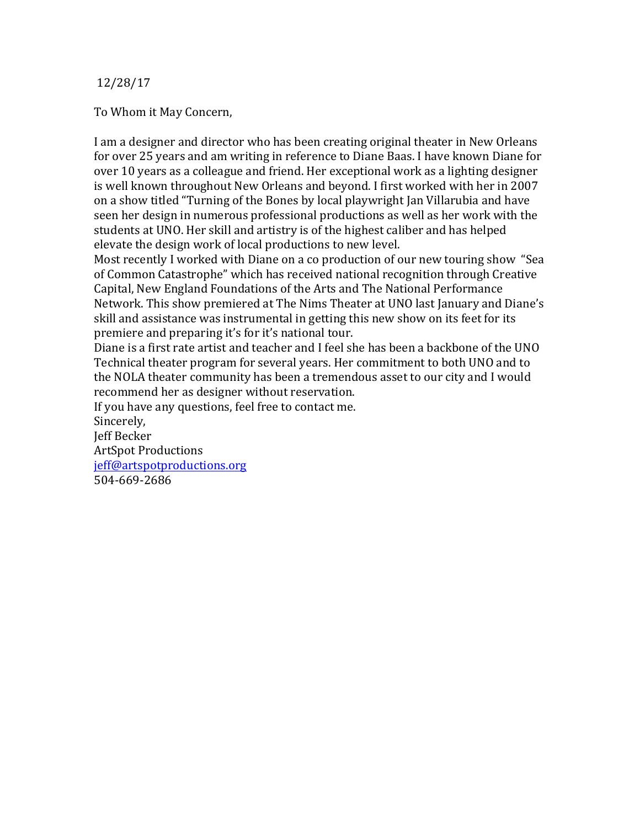12/28/17

To Whom it May Concern,

I am a designer and director who has been creating original theater in New Orleans for over 25 years and am writing in reference to Diane Baas. I have known Diane for over 10 years as a colleague and friend. Her exceptional work as a lighting designer is well known throughout New Orleans and beyond. I first worked with her in 2007 on a show titled "Turning of the Bones by local playwright Jan Villarubia and have seen her design in numerous professional productions as well as her work with the students at UNO. Her skill and artistry is of the highest caliber and has helped elevate the design work of local productions to new level.

Most recently I worked with Diane on a co production of our new touring show "Sea of Common Catastrophe" which has received national recognition through Creative Capital, New England Foundations of the Arts and The National Performance Network. This show premiered at The Nims Theater at UNO last January and Diane's skill and assistance was instrumental in getting this new show on its feet for its premiere and preparing it's for it's national tour.

Diane is a first rate artist and teacher and I feel she has been a backbone of the UNO Technical theater program for several years. Her commitment to both UNO and to the NOLA theater community has been a tremendous asset to our city and I would recommend her as designer without reservation.

If you have any questions, feel free to contact me.

Sincerely, **Jeff Becker ArtSpot Productions** jeff@artspotproductions.org 504-669-2686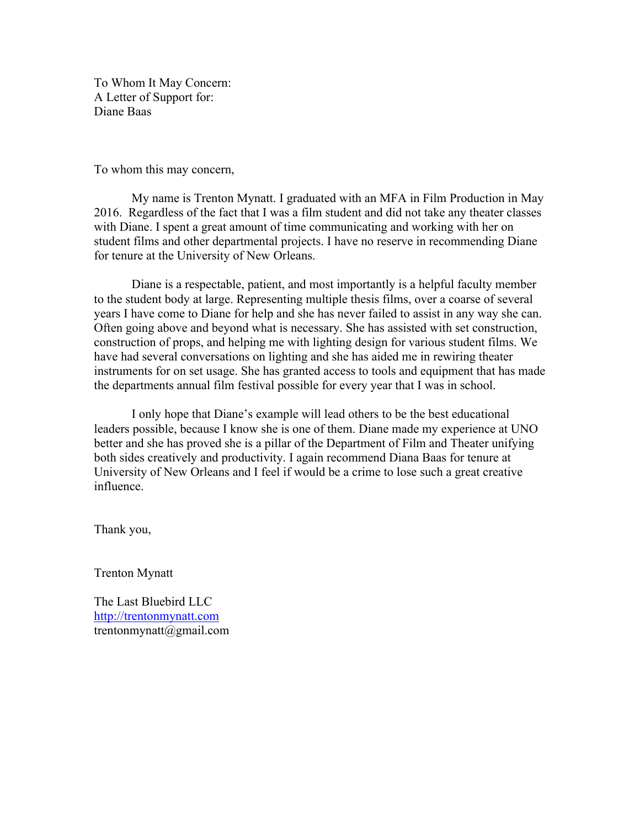To Whom It May Concern: A Letter of Support for: Diane Baas

To whom this may concern,

My name is Trenton Mynatt. I graduated with an MFA in Film Production in May 2016. Regardless of the fact that I was a film student and did not take any theater classes with Diane. I spent a great amount of time communicating and working with her on student films and other departmental projects. I have no reserve in recommending Diane for tenure at the University of New Orleans.

Diane is a respectable, patient, and most importantly is a helpful faculty member to the student body at large. Representing multiple thesis films, over a coarse of several years I have come to Diane for help and she has never failed to assist in any way she can. Often going above and beyond what is necessary. She has assisted with set construction, construction of props, and helping me with lighting design for various student films. We have had several conversations on lighting and she has aided me in rewiring theater instruments for on set usage. She has granted access to tools and equipment that has made the departments annual film festival possible for every year that I was in school.

I only hope that Diane's example will lead others to be the best educational leaders possible, because I know she is one of them. Diane made my experience at UNO better and she has proved she is a pillar of the Department of Film and Theater unifying both sides creatively and productivity. I again recommend Diana Baas for tenure at University of New Orleans and I feel if would be a crime to lose such a great creative influence.

Thank you,

Trenton Mynatt

The Last Bluebird LLC http://trentonmynatt.com trentonmynatt@gmail.com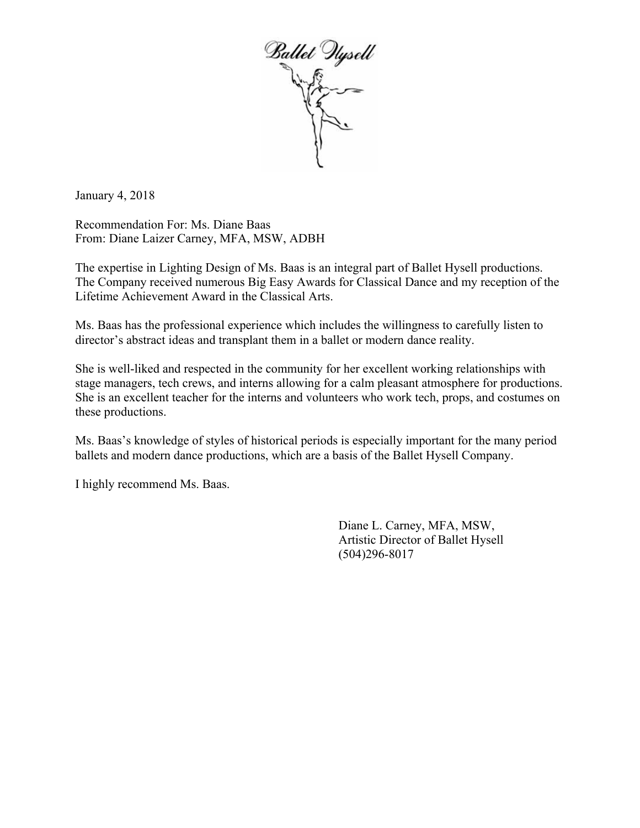

January 4, 2018

Recommendation For: Ms. Diane Baas From: Diane Laizer Carney, MFA, MSW, ADBH

The expertise in Lighting Design of Ms. Baas is an integral part of Ballet Hysell productions. The Company received numerous Big Easy Awards for Classical Dance and my reception of the Lifetime Achievement Award in the Classical Arts.

Ms. Baas has the professional experience which includes the willingness to carefully listen to director's abstract ideas and transplant them in a ballet or modern dance reality.

She is well-liked and respected in the community for her excellent working relationships with stage managers, tech crews, and interns allowing for a calm pleasant atmosphere for productions. She is an excellent teacher for the interns and volunteers who work tech, props, and costumes on these productions.

Ms. Baas's knowledge of styles of historical periods is especially important for the many period ballets and modern dance productions, which are a basis of the Ballet Hysell Company.

I highly recommend Ms. Baas.

Diane L. Carney, MFA, MSW, Artistic Director of Ballet Hysell (504)296-8017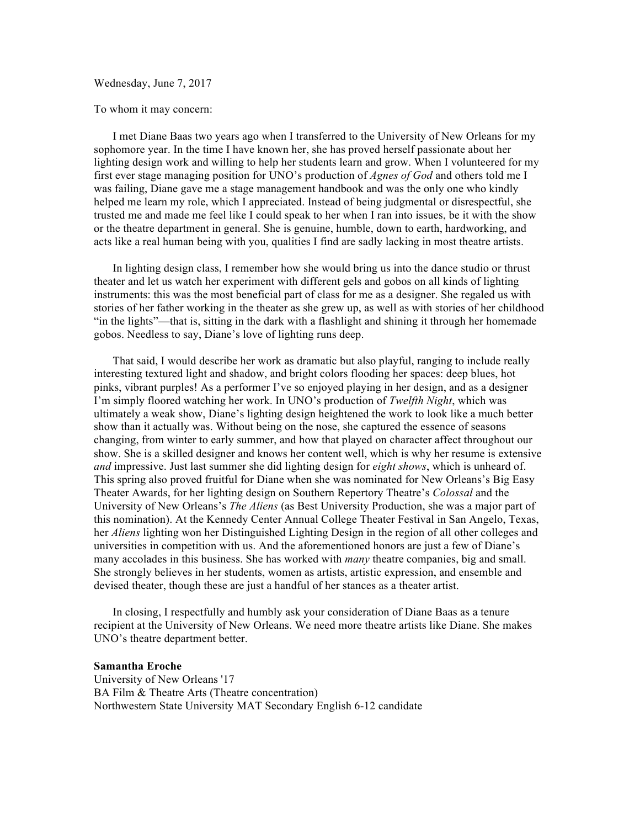## Wednesday, June 7, 2017

## To whom it may concern:

I met Diane Baas two years ago when I transferred to the University of New Orleans for my sophomore year. In the time I have known her, she has proved herself passionate about her lighting design work and willing to help her students learn and grow. When I volunteered for my first ever stage managing position for UNO's production of *Agnes of God* and others told me I was failing, Diane gave me a stage management handbook and was the only one who kindly helped me learn my role, which I appreciated. Instead of being judgmental or disrespectful, she trusted me and made me feel like I could speak to her when I ran into issues, be it with the show or the theatre department in general. She is genuine, humble, down to earth, hardworking, and acts like a real human being with you, qualities I find are sadly lacking in most theatre artists.

In lighting design class, I remember how she would bring us into the dance studio or thrust theater and let us watch her experiment with different gels and gobos on all kinds of lighting instruments: this was the most beneficial part of class for me as a designer. She regaled us with stories of her father working in the theater as she grew up, as well as with stories of her childhood "in the lights"—that is, sitting in the dark with a flashlight and shining it through her homemade gobos. Needless to say, Diane's love of lighting runs deep.

That said, I would describe her work as dramatic but also playful, ranging to include really interesting textured light and shadow, and bright colors flooding her spaces: deep blues, hot pinks, vibrant purples! As a performer I've so enjoyed playing in her design, and as a designer I'm simply floored watching her work. In UNO's production of *Twelfth Night*, which was ultimately a weak show, Diane's lighting design heightened the work to look like a much better show than it actually was. Without being on the nose, she captured the essence of seasons changing, from winter to early summer, and how that played on character affect throughout our show. She is a skilled designer and knows her content well, which is why her resume is extensive *and* impressive. Just last summer she did lighting design for *eight shows*, which is unheard of. This spring also proved fruitful for Diane when she was nominated for New Orleans's Big Easy Theater Awards, for her lighting design on Southern Repertory Theatre's *Colossal* and the University of New Orleans's *The Aliens* (as Best University Production, she was a major part of this nomination). At the Kennedy Center Annual College Theater Festival in San Angelo, Texas, her *Aliens* lighting won her Distinguished Lighting Design in the region of all other colleges and universities in competition with us. And the aforementioned honors are just a few of Diane's many accolades in this business. She has worked with *many* theatre companies, big and small. She strongly believes in her students, women as artists, artistic expression, and ensemble and devised theater, though these are just a handful of her stances as a theater artist.

In closing, I respectfully and humbly ask your consideration of Diane Baas as a tenure recipient at the University of New Orleans. We need more theatre artists like Diane. She makes UNO's theatre department better.

## **Samantha Eroche**

University of New Orleans '17 BA Film & Theatre Arts (Theatre concentration) Northwestern State University MAT Secondary English 6-12 candidate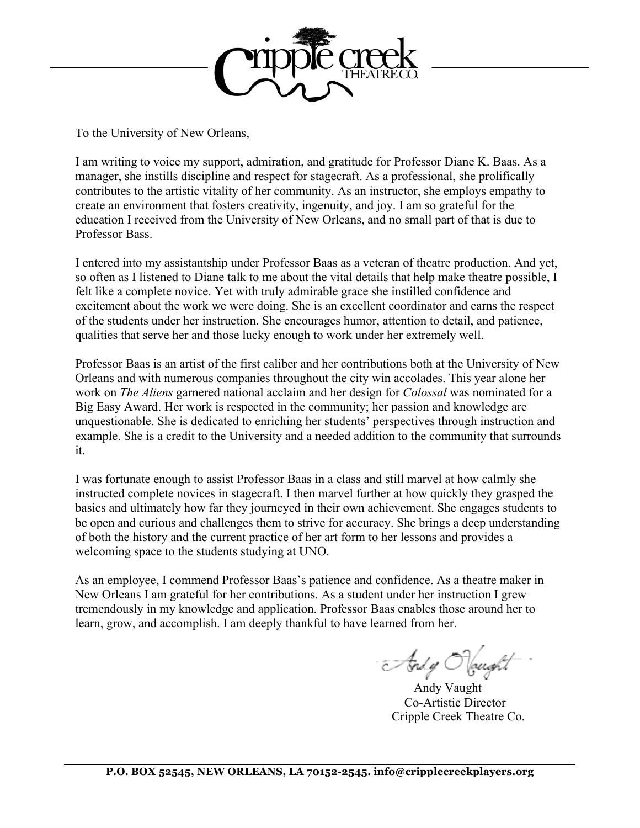

To the University of New Orleans,

I am writing to voice my support, admiration, and gratitude for Professor Diane K. Baas. As a manager, she instills discipline and respect for stagecraft. As a professional, she prolifically contributes to the artistic vitality of her community. As an instructor, she employs empathy to create an environment that fosters creativity, ingenuity, and joy. I am so grateful for the education I received from the University of New Orleans, and no small part of that is due to Professor Bass.

I entered into my assistantship under Professor Baas as a veteran of theatre production. And yet, so often as I listened to Diane talk to me about the vital details that help make theatre possible, I felt like a complete novice. Yet with truly admirable grace she instilled confidence and excitement about the work we were doing. She is an excellent coordinator and earns the respect of the students under her instruction. She encourages humor, attention to detail, and patience, qualities that serve her and those lucky enough to work under her extremely well.

Professor Baas is an artist of the first caliber and her contributions both at the University of New Orleans and with numerous companies throughout the city win accolades. This year alone her work on *The Aliens* garnered national acclaim and her design for *Colossal* was nominated for a Big Easy Award. Her work is respected in the community; her passion and knowledge are unquestionable. She is dedicated to enriching her students' perspectives through instruction and example. She is a credit to the University and a needed addition to the community that surrounds it.

I was fortunate enough to assist Professor Baas in a class and still marvel at how calmly she instructed complete novices in stagecraft. I then marvel further at how quickly they grasped the basics and ultimately how far they journeyed in their own achievement. She engages students to be open and curious and challenges them to strive for accuracy. She brings a deep understanding of both the history and the current practice of her art form to her lessons and provides a welcoming space to the students studying at UNO.

As an employee, I commend Professor Baas's patience and confidence. As a theatre maker in New Orleans I am grateful for her contributions. As a student under her instruction I grew tremendously in my knowledge and application. Professor Baas enables those around her to learn, grow, and accomplish. I am deeply thankful to have learned from her.

Endy Obught

 Andy Vaught Co-Artistic Director Cripple Creek Theatre Co.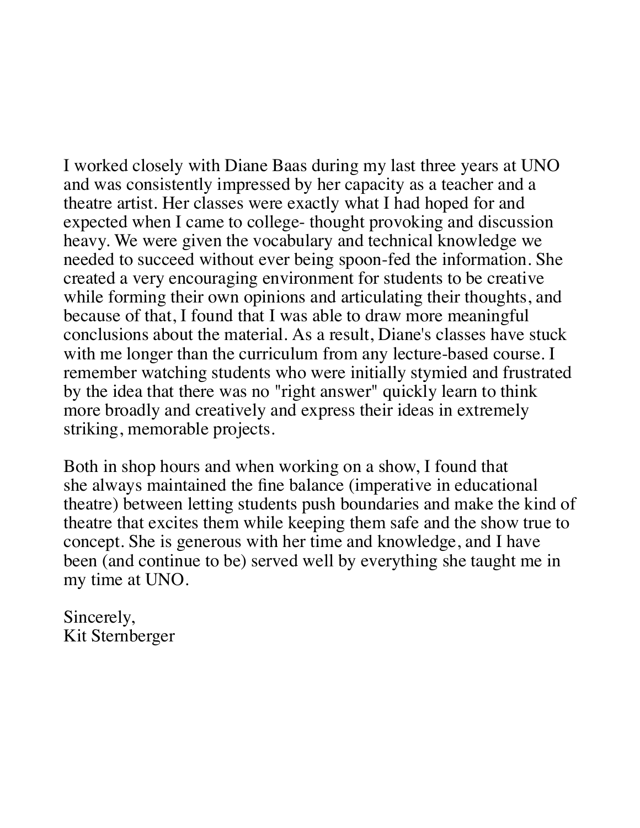I worked closely with Diane Baas during my last three years at UNO and was consistently impressed by her capacity as a teacher and a theatre artist. Her classes were exactly what I had hoped for and expected when I came to college- thought provoking and discussion heavy. We were given the vocabulary and technical knowledge we needed to succeed without ever being spoon-fed the information. She created a very encouraging environment for students to be creative while forming their own opinions and articulating their thoughts, and because of that, I found that I was able to draw more meaningful conclusions about the material. As a result, Diane's classes have stuck with me longer than the curriculum from any lecture-based course. I remember watching students who were initially stymied and frustrated by the idea that there was no "right answer" quickly learn to think more broadly and creatively and express their ideas in extremely striking, memorable projects.

Both in shop hours and when working on a show, I found that she always maintained the fine balance (imperative in educational theatre) between letting students push boundaries and make the kind of theatre that excites them while keeping them safe and the show true to concept. She is generous with her time and knowledge, and I have been (and continue to be) served well by everything she taught me in my time at UNO.

Sincerely, Kit Sternberger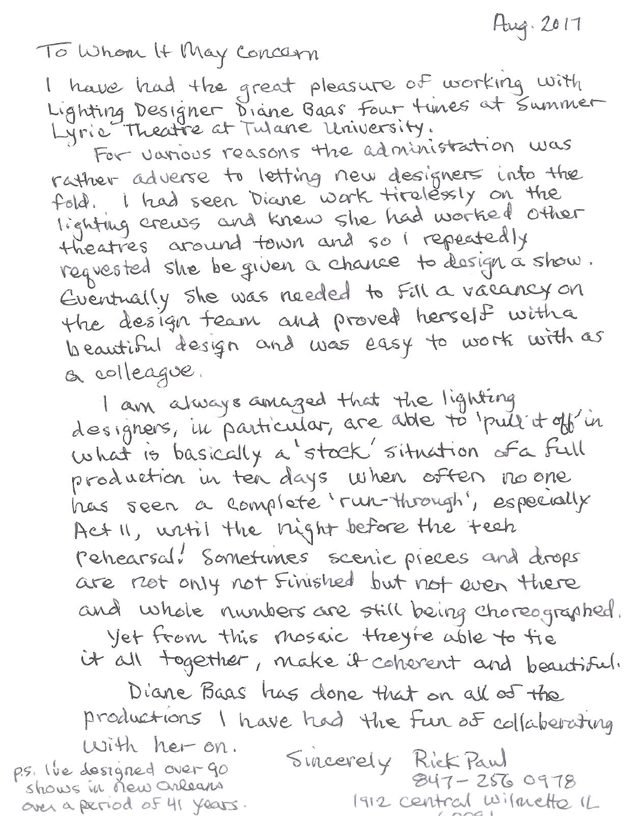Hug. 2017

To Whom It May Concern

I have had the great pleasure of working with<br>Lighting Designer Diane Baas four twies at Summer

For various reasons the administation was rather adverse to letting new designers into the fold. I had seen Diane work tirelessly on the lighting crews and knew she had worked other theatres around town and so I repeatedly requested she be given a chance to design a show. Eventually she was needed to Fill a vacancy on the design team and proved herself with a beaution design and was easy to work with as a colleague.

I am always amaged that the lighting designers, in particular, are able to pull it off in what is basically a stock situation of a full production in ten days when often no one has seen a complete 'run-through', especially Act II, writil the night before the tech rehearsal. Sometunes scenic pieces and drops are not only not finished but not even there and whole numbers are still being choreographed. Yet from this mosaic they're able to tie

it all together, make it coherent and beautiful.

Diane Baas has done that on all of the productions I have had the fun of collaborating With her on. Sincerely Rick Paul p.s. live designed over 90  $847 - 2560978$ shows in new Orleans 1912 central wilmette IL over a period of 41 years.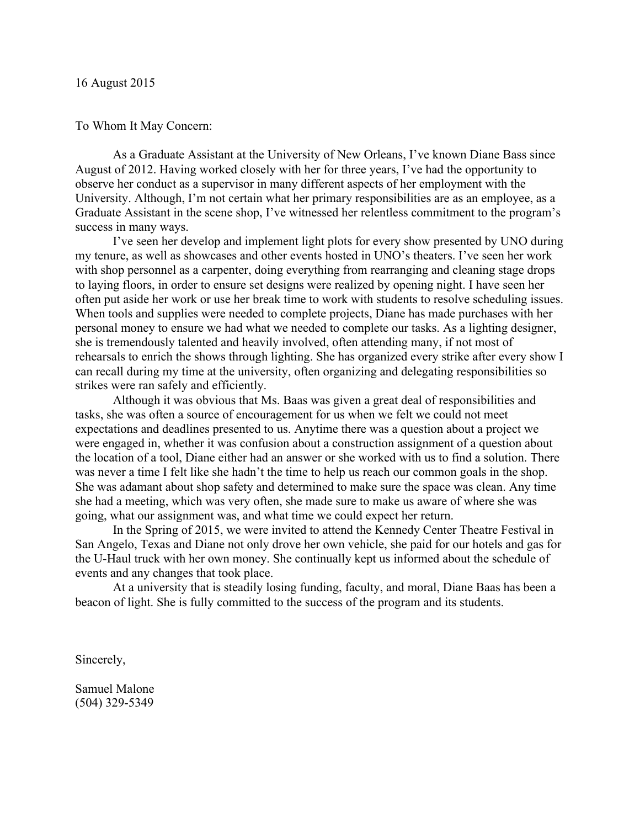## To Whom It May Concern:

As a Graduate Assistant at the University of New Orleans, I've known Diane Bass since August of 2012. Having worked closely with her for three years, I've had the opportunity to observe her conduct as a supervisor in many different aspects of her employment with the University. Although, I'm not certain what her primary responsibilities are as an employee, as a Graduate Assistant in the scene shop, I've witnessed her relentless commitment to the program's success in many ways.

I've seen her develop and implement light plots for every show presented by UNO during my tenure, as well as showcases and other events hosted in UNO's theaters. I've seen her work with shop personnel as a carpenter, doing everything from rearranging and cleaning stage drops to laying floors, in order to ensure set designs were realized by opening night. I have seen her often put aside her work or use her break time to work with students to resolve scheduling issues. When tools and supplies were needed to complete projects, Diane has made purchases with her personal money to ensure we had what we needed to complete our tasks. As a lighting designer, she is tremendously talented and heavily involved, often attending many, if not most of rehearsals to enrich the shows through lighting. She has organized every strike after every show I can recall during my time at the university, often organizing and delegating responsibilities so strikes were ran safely and efficiently.

Although it was obvious that Ms. Baas was given a great deal of responsibilities and tasks, she was often a source of encouragement for us when we felt we could not meet expectations and deadlines presented to us. Anytime there was a question about a project we were engaged in, whether it was confusion about a construction assignment of a question about the location of a tool, Diane either had an answer or she worked with us to find a solution. There was never a time I felt like she hadn't the time to help us reach our common goals in the shop. She was adamant about shop safety and determined to make sure the space was clean. Any time she had a meeting, which was very often, she made sure to make us aware of where she was going, what our assignment was, and what time we could expect her return.

In the Spring of 2015, we were invited to attend the Kennedy Center Theatre Festival in San Angelo, Texas and Diane not only drove her own vehicle, she paid for our hotels and gas for the U-Haul truck with her own money. She continually kept us informed about the schedule of events and any changes that took place.

At a university that is steadily losing funding, faculty, and moral, Diane Baas has been a beacon of light. She is fully committed to the success of the program and its students.

Sincerely,

Samuel Malone (504) 329-5349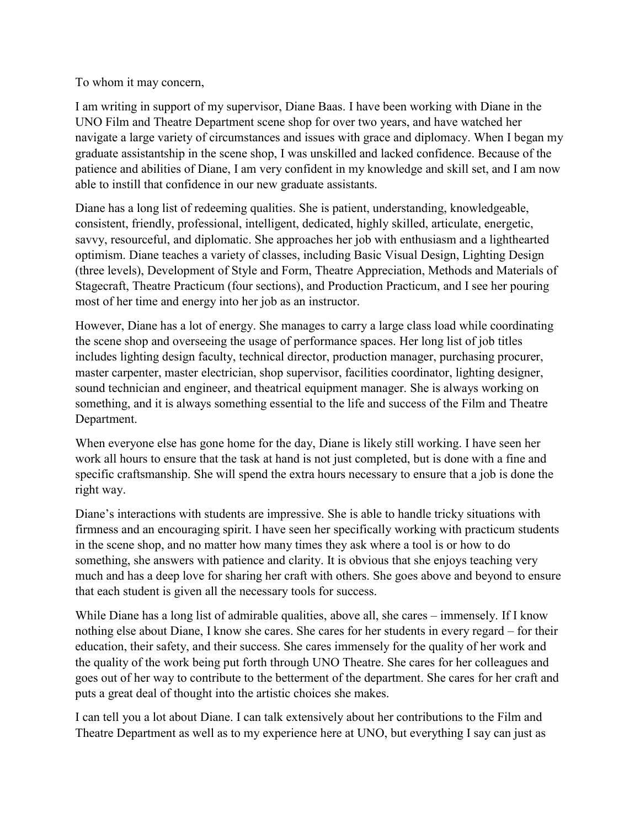To whom it may concern,

I am writing in support of my supervisor, Diane Baas. I have been working with Diane in the UNO Film and Theatre Department scene shop for over two years, and have watched her navigate a large variety of circumstances and issues with grace and diplomacy. When I began my graduate assistantship in the scene shop, I was unskilled and lacked confidence. Because of the patience and abilities of Diane, I am very confident in my knowledge and skill set, and I am now able to instill that confidence in our new graduate assistants.

Diane has a long list of redeeming qualities. She is patient, understanding, knowledgeable, consistent, friendly, professional, intelligent, dedicated, highly skilled, articulate, energetic, savvy, resourceful, and diplomatic. She approaches her job with enthusiasm and a lighthearted optimism. Diane teaches a variety of classes, including Basic Visual Design, Lighting Design (three levels), Development of Style and Form, Theatre Appreciation, Methods and Materials of Stagecraft, Theatre Practicum (four sections), and Production Practicum, and I see her pouring most of her time and energy into her job as an instructor.

However, Diane has a lot of energy. She manages to carry a large class load while coordinating the scene shop and overseeing the usage of performance spaces. Her long list of job titles includes lighting design faculty, technical director, production manager, purchasing procurer, master carpenter, master electrician, shop supervisor, facilities coordinator, lighting designer, sound technician and engineer, and theatrical equipment manager. She is always working on something, and it is always something essential to the life and success of the Film and Theatre Department.

When everyone else has gone home for the day, Diane is likely still working. I have seen her work all hours to ensure that the task at hand is not just completed, but is done with a fine and specific craftsmanship. She will spend the extra hours necessary to ensure that a job is done the right way.

Diane's interactions with students are impressive. She is able to handle tricky situations with firmness and an encouraging spirit. I have seen her specifically working with practicum students in the scene shop, and no matter how many times they ask where a tool is or how to do something, she answers with patience and clarity. It is obvious that she enjoys teaching very much and has a deep love for sharing her craft with others. She goes above and beyond to ensure that each student is given all the necessary tools for success.

While Diane has a long list of admirable qualities, above all, she cares – immensely. If I know nothing else about Diane, I know she cares. She cares for her students in every regard – for their education, their safety, and their success. She cares immensely for the quality of her work and the quality of the work being put forth through UNO Theatre. She cares for her colleagues and goes out of her way to contribute to the betterment of the department. She cares for her craft and puts a great deal of thought into the artistic choices she makes.

I can tell you a lot about Diane. I can talk extensively about her contributions to the Film and Theatre Department as well as to my experience here at UNO, but everything I say can just as